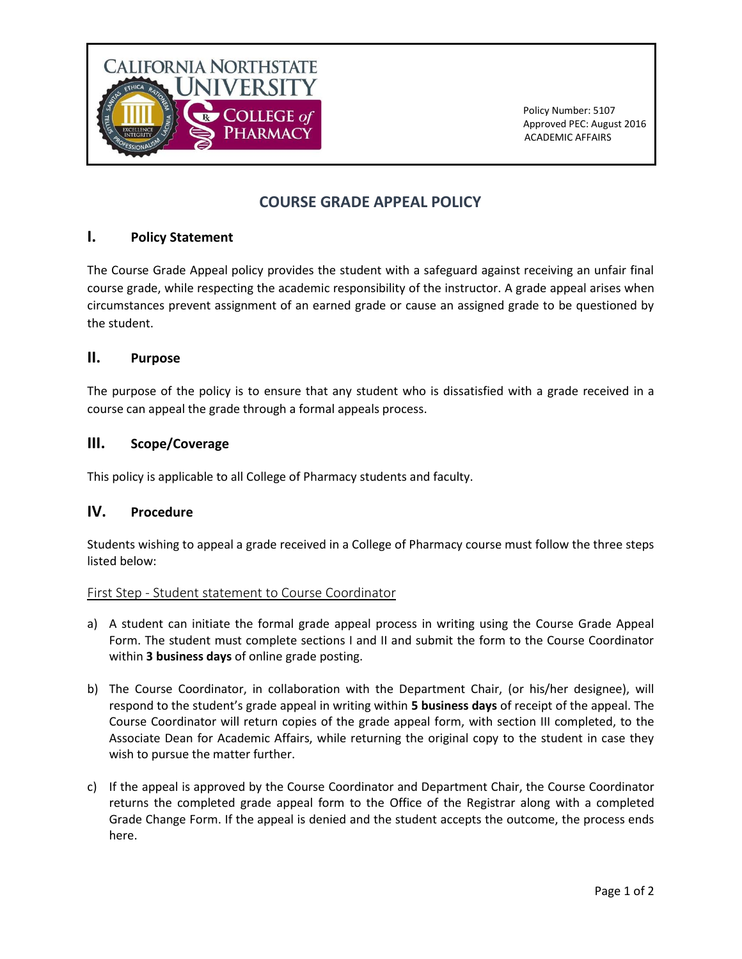

 Policy Number: 5107 Approved PEC: August 2016 ACADEMIC AFFAIRS

# **COURSE GRADE APPEAL POLICY**

# **I. Policy Statement**

The Course Grade Appeal policy provides the student with a safeguard against receiving an unfair final course grade, while respecting the academic responsibility of the instructor. A grade appeal arises when circumstances prevent assignment of an earned grade or cause an assigned grade to be questioned by the student.

#### **II. Purpose**

The purpose of the policy is to ensure that any student who is dissatisfied with a grade received in a course can appeal the grade through a formal appeals process.

## **III. Scope/Coverage**

This policy is applicable to all College of Pharmacy students and faculty.

#### **IV. Procedure**

Students wishing to appeal a grade received in a College of Pharmacy course must follow the three steps listed below:

#### First Step - Student statement to Course Coordinator

- a) A student can initiate the formal grade appeal process in writing using the Course Grade Appeal Form. The student must complete sections I and II and submit the form to the Course Coordinator within **3 business days** of online grade posting.
- b) The Course Coordinator, in collaboration with the Department Chair, (or his/her designee), will respond to the student's grade appeal in writing within **5 business days** of receipt of the appeal. The Course Coordinator will return copies of the grade appeal form, with section III completed, to the Associate Dean for Academic Affairs, while returning the original copy to the student in case they wish to pursue the matter further.
- c) If the appeal is approved by the Course Coordinator and Department Chair, the Course Coordinator returns the completed grade appeal form to the Office of the Registrar along with a completed Grade Change Form. If the appeal is denied and the student accepts the outcome, the process ends here.